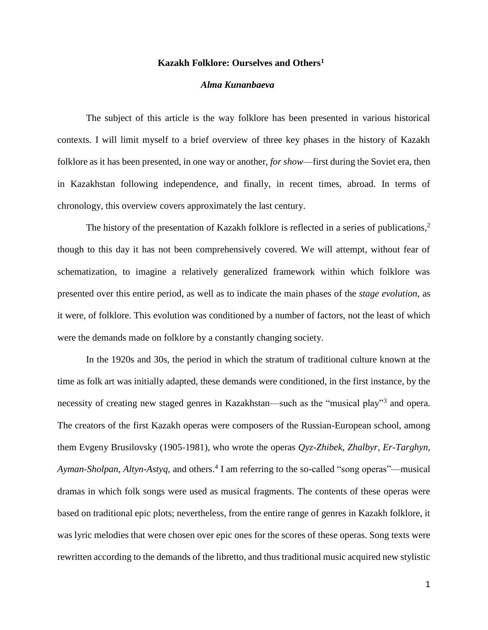## **Kazakh Folklore: Ourselves and Others<sup>1</sup>**

## *Alma Kunanbaeva*

The subject of this article is the way folklore has been presented in various historical contexts. I will limit myself to a brief overview of three key phases in the history of Kazakh folklore as it has been presented, in one way or another, *for show*—first during the Soviet era, then in Kazakhstan following independence, and finally, in recent times, abroad. In terms of chronology, this overview covers approximately the last century.

The history of the presentation of Kazakh folklore is reflected in a series of publications,<sup>2</sup> though to this day it has not been comprehensively covered. We will attempt, without fear of schematization, to imagine a relatively generalized framework within which folklore was presented over this entire period, as well as to indicate the main phases of the *stage evolution*, as it were, of folklore. This evolution was conditioned by a number of factors, not the least of which were the demands made on folklore by a constantly changing society.

In the 1920s and 30s, the period in which the stratum of traditional culture known at the time as folk art was initially adapted, these demands were conditioned, in the first instance, by the necessity of creating new staged genres in Kazakhstan—such as the "musical play"<sup>3</sup> and opera. The creators of the first Kazakh operas were composers of the Russian-European school, among them Evgeny Brusilovsky (1905-1981), who wrote the operas *Qyz-Zhibek*, *Zhalbyr*, *Er-Targhyn*, *Ayman-Sholpan*, *Altyn-Astyq*, and others.<sup>4</sup> I am referring to the so-called "song operas"—musical dramas in which folk songs were used as musical fragments. The contents of these operas were based on traditional epic plots; nevertheless, from the entire range of genres in Kazakh folklore, it was lyric melodies that were chosen over epic ones for the scores of these operas. Song texts were rewritten according to the demands of the libretto, and thus traditional music acquired new stylistic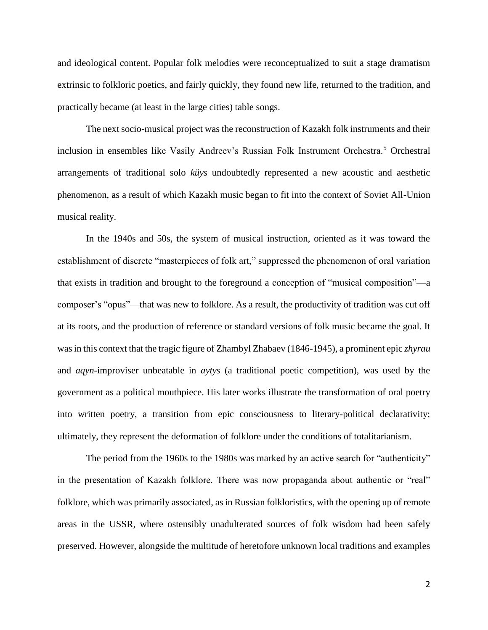and ideological content. Popular folk melodies were reconceptualized to suit a stage dramatism extrinsic to folkloric poetics, and fairly quickly, they found new life, returned to the tradition, and practically became (at least in the large cities) table songs.

The next socio-musical project was the reconstruction of Kazakh folk instruments and their inclusion in ensembles like Vasily Andreev's Russian Folk Instrument Orchestra.<sup>5</sup> Orchestral arrangements of traditional solo *küys* undoubtedly represented a new acoustic and aesthetic phenomenon, as a result of which Kazakh music began to fit into the context of Soviet All-Union musical reality.

In the 1940s and 50s, the system of musical instruction, oriented as it was toward the establishment of discrete "masterpieces of folk art," suppressed the phenomenon of oral variation that exists in tradition and brought to the foreground a conception of "musical composition"—a composer's "opus"—that was new to folklore. As a result, the productivity of tradition was cut off at its roots, and the production of reference or standard versions of folk music became the goal. It was in this context that the tragic figure of Zhambyl Zhabaev (1846-1945), a prominent epic *zhyrau* and *aqyn*-improviser unbeatable in *aytys* (a traditional poetic competition), was used by the government as a political mouthpiece. His later works illustrate the transformation of oral poetry into written poetry, a transition from epic consciousness to literary-political declarativity; ultimately, they represent the deformation of folklore under the conditions of totalitarianism.

The period from the 1960s to the 1980s was marked by an active search for "authenticity" in the presentation of Kazakh folklore. There was now propaganda about authentic or "real" folklore, which was primarily associated, as in Russian folkloristics, with the opening up of remote areas in the USSR, where ostensibly unadulterated sources of folk wisdom had been safely preserved. However, alongside the multitude of heretofore unknown local traditions and examples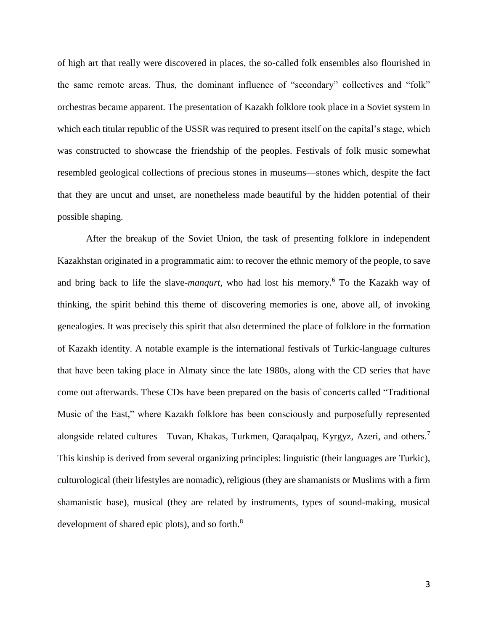of high art that really were discovered in places, the so-called folk ensembles also flourished in the same remote areas. Thus, the dominant influence of "secondary" collectives and "folk" orchestras became apparent. The presentation of Kazakh folklore took place in a Soviet system in which each titular republic of the USSR was required to present itself on the capital's stage, which was constructed to showcase the friendship of the peoples. Festivals of folk music somewhat resembled geological collections of precious stones in museums—stones which, despite the fact that they are uncut and unset, are nonetheless made beautiful by the hidden potential of their possible shaping.

After the breakup of the Soviet Union, the task of presenting folklore in independent Kazakhstan originated in a programmatic aim: to recover the ethnic memory of the people, to save and bring back to life the slave-*manqurt*, who had lost his memory.<sup>6</sup> To the Kazakh way of thinking, the spirit behind this theme of discovering memories is one, above all, of invoking genealogies. It was precisely this spirit that also determined the place of folklore in the formation of Kazakh identity. A notable example is the international festivals of Turkic-language cultures that have been taking place in Almaty since the late 1980s, along with the CD series that have come out afterwards. These CDs have been prepared on the basis of concerts called "Traditional Music of the East," where Kazakh folklore has been consciously and purposefully represented alongside related cultures—Tuvan, Khakas, Turkmen, Qaraqalpaq, Kyrgyz, Azeri, and others.<sup>7</sup> This kinship is derived from several organizing principles: linguistic (their languages are Turkic), culturological (their lifestyles are nomadic), religious (they are shamanists or Muslims with a firm shamanistic base), musical (they are related by instruments, types of sound-making, musical development of shared epic plots), and so forth.<sup>8</sup>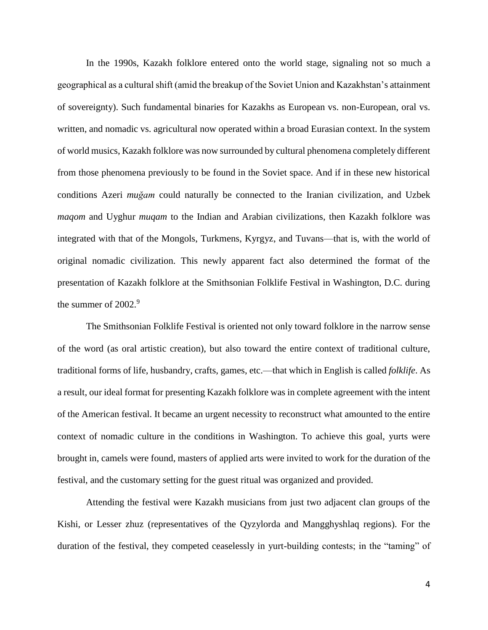In the 1990s, Kazakh folklore entered onto the world stage, signaling not so much a geographical as a cultural shift (amid the breakup of the Soviet Union and Kazakhstan's attainment of sovereignty). Such fundamental binaries for Kazakhs as European vs. non-European, oral vs. written, and nomadic vs. agricultural now operated within a broad Eurasian context. In the system of world musics, Kazakh folklore was now surrounded by cultural phenomena completely different from those phenomena previously to be found in the Soviet space. And if in these new historical conditions Azeri *muğam* could naturally be connected to the Iranian civilization, and Uzbek *maqom* and Uyghur *muqam* to the Indian and Arabian civilizations, then Kazakh folklore was integrated with that of the Mongols, Turkmens, Kyrgyz, and Tuvans—that is, with the world of original nomadic civilization. This newly apparent fact also determined the format of the presentation of Kazakh folklore at the Smithsonian Folklife Festival in Washington, D.C. during the summer of  $2002.<sup>9</sup>$ 

The Smithsonian Folklife Festival is oriented not only toward folklore in the narrow sense of the word (as oral artistic creation), but also toward the entire context of traditional culture, traditional forms of life, husbandry, crafts, games, etc.—that which in English is called *folklife*. As a result, our ideal format for presenting Kazakh folklore was in complete agreement with the intent of the American festival. It became an urgent necessity to reconstruct what amounted to the entire context of nomadic culture in the conditions in Washington. To achieve this goal, yurts were brought in, camels were found, masters of applied arts were invited to work for the duration of the festival, and the customary setting for the guest ritual was organized and provided.

Attending the festival were Kazakh musicians from just two adjacent clan groups of the Kishi, or Lesser zhuz (representatives of the Qyzylorda and Mangghyshlaq regions). For the duration of the festival, they competed ceaselessly in yurt-building contests; in the "taming" of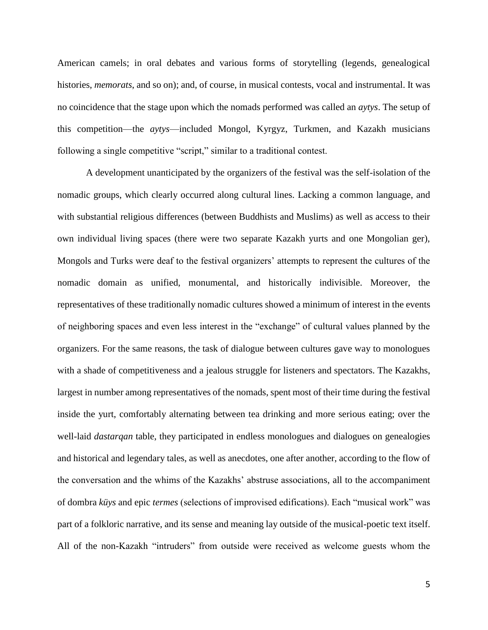American camels; in oral debates and various forms of storytelling (legends, genealogical histories, *memorats*, and so on); and, of course, in musical contests, vocal and instrumental. It was no coincidence that the stage upon which the nomads performed was called an *aytys*. The setup of this competition—the *aytys*—included Mongol, Kyrgyz, Turkmen, and Kazakh musicians following a single competitive "script," similar to a traditional contest.

A development unanticipated by the organizers of the festival was the self-isolation of the nomadic groups, which clearly occurred along cultural lines. Lacking a common language, and with substantial religious differences (between Buddhists and Muslims) as well as access to their own individual living spaces (there were two separate Kazakh yurts and one Mongolian ger), Mongols and Turks were deaf to the festival organizers' attempts to represent the cultures of the nomadic domain as unified, monumental, and historically indivisible. Moreover, the representatives of these traditionally nomadic cultures showed a minimum of interest in the events of neighboring spaces and even less interest in the "exchange" of cultural values planned by the organizers. For the same reasons, the task of dialogue between cultures gave way to monologues with a shade of competitiveness and a jealous struggle for listeners and spectators. The Kazakhs, largest in number among representatives of the nomads, spent most of their time during the festival inside the yurt, comfortably alternating between tea drinking and more serious eating; over the well-laid *dastarqan* table, they participated in endless monologues and dialogues on genealogies and historical and legendary tales, as well as anecdotes, one after another, according to the flow of the conversation and the whims of the Kazakhs' abstruse associations, all to the accompaniment of dombra *küys* and epic *termes* (selections of improvised edifications). Each "musical work" was part of a folkloric narrative, and its sense and meaning lay outside of the musical-poetic text itself. All of the non-Kazakh "intruders" from outside were received as welcome guests whom the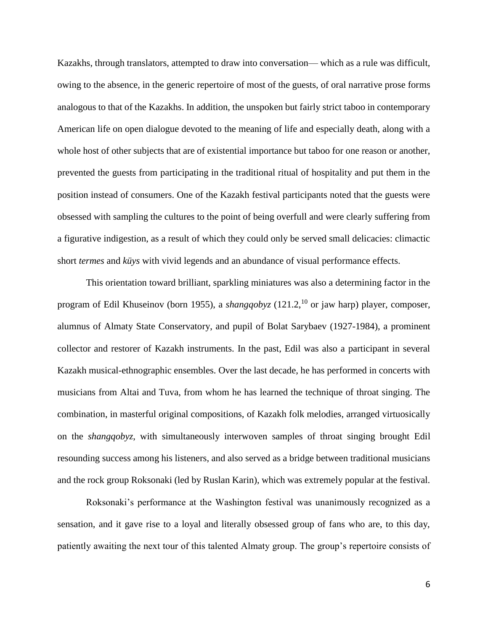Kazakhs, through translators, attempted to draw into conversation— which as a rule was difficult, owing to the absence, in the generic repertoire of most of the guests, of oral narrative prose forms analogous to that of the Kazakhs. In addition, the unspoken but fairly strict taboo in contemporary American life on open dialogue devoted to the meaning of life and especially death, along with a whole host of other subjects that are of existential importance but taboo for one reason or another, prevented the guests from participating in the traditional ritual of hospitality and put them in the position instead of consumers. One of the Kazakh festival participants noted that the guests were obsessed with sampling the cultures to the point of being overfull and were clearly suffering from a figurative indigestion, as a result of which they could only be served small delicacies: climactic short *termes* and *küys* with vivid legends and an abundance of visual performance effects.

This orientation toward brilliant, sparkling miniatures was also a determining factor in the program of Edil Khuseinov (born 1955), a *shangqobyz* (121.2,<sup>10</sup> or jaw harp) player, composer, alumnus of Almaty State Conservatory, and pupil of Bolat Sarybaev (1927-1984), a prominent collector and restorer of Kazakh instruments. In the past, Edil was also a participant in several Kazakh musical-ethnographic ensembles. Over the last decade, he has performed in concerts with musicians from Altai and Tuva, from whom he has learned the technique of throat singing. The combination, in masterful original compositions, of Kazakh folk melodies, arranged virtuosically on the *shangqobyz*, with simultaneously interwoven samples of throat singing brought Edil resounding success among his listeners, and also served as a bridge between traditional musicians and the rock group Roksonaki (led by Ruslan Karin), which was extremely popular at the festival.

Roksonaki's performance at the Washington festival was unanimously recognized as a sensation, and it gave rise to a loyal and literally obsessed group of fans who are, to this day, patiently awaiting the next tour of this talented Almaty group. The group's repertoire consists of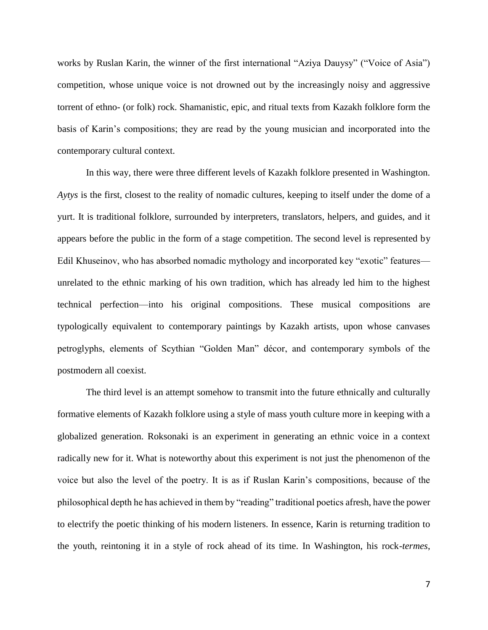works by Ruslan Karin, the winner of the first international "Aziya Dauysy" ("Voice of Asia") competition, whose unique voice is not drowned out by the increasingly noisy and aggressive torrent of ethno- (or folk) rock. Shamanistic, epic, and ritual texts from Kazakh folklore form the basis of Karin's compositions; they are read by the young musician and incorporated into the contemporary cultural context.

In this way, there were three different levels of Kazakh folklore presented in Washington. *Aytys* is the first, closest to the reality of nomadic cultures, keeping to itself under the dome of a yurt. It is traditional folklore, surrounded by interpreters, translators, helpers, and guides, and it appears before the public in the form of a stage competition. The second level is represented by Edil Khuseinov, who has absorbed nomadic mythology and incorporated key "exotic" features unrelated to the ethnic marking of his own tradition, which has already led him to the highest technical perfection—into his original compositions. These musical compositions are typologically equivalent to contemporary paintings by Kazakh artists, upon whose canvases petroglyphs, elements of Scythian "Golden Man" décor, and contemporary symbols of the postmodern all coexist.

The third level is an attempt somehow to transmit into the future ethnically and culturally formative elements of Kazakh folklore using a style of mass youth culture more in keeping with a globalized generation. Roksonaki is an experiment in generating an ethnic voice in a context radically new for it. What is noteworthy about this experiment is not just the phenomenon of the voice but also the level of the poetry. It is as if Ruslan Karin's compositions, because of the philosophical depth he has achieved in them by "reading" traditional poetics afresh, have the power to electrify the poetic thinking of his modern listeners. In essence, Karin is returning tradition to the youth, reintoning it in a style of rock ahead of its time. In Washington, his rock-*termes*,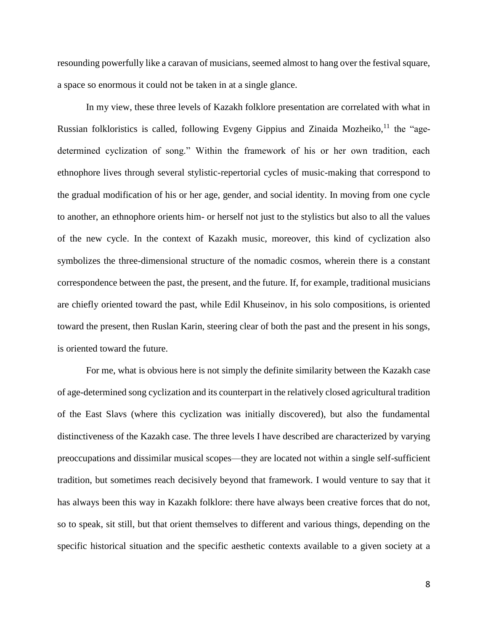resounding powerfully like a caravan of musicians, seemed almost to hang over the festival square, a space so enormous it could not be taken in at a single glance.

In my view, these three levels of Kazakh folklore presentation are correlated with what in Russian folkloristics is called, following Evgeny Gippius and Zinaida Mozheiko, $^{11}$  the "agedetermined cyclization of song." Within the framework of his or her own tradition, each ethnophore lives through several stylistic-repertorial cycles of music-making that correspond to the gradual modification of his or her age, gender, and social identity. In moving from one cycle to another, an ethnophore orients him- or herself not just to the stylistics but also to all the values of the new cycle. In the context of Kazakh music, moreover, this kind of cyclization also symbolizes the three-dimensional structure of the nomadic cosmos, wherein there is a constant correspondence between the past, the present, and the future. If, for example, traditional musicians are chiefly oriented toward the past, while Edil Khuseinov, in his solo compositions, is oriented toward the present, then Ruslan Karin, steering clear of both the past and the present in his songs, is oriented toward the future.

For me, what is obvious here is not simply the definite similarity between the Kazakh case of age-determined song cyclization and its counterpart in the relatively closed agricultural tradition of the East Slavs (where this cyclization was initially discovered), but also the fundamental distinctiveness of the Kazakh case. The three levels I have described are characterized by varying preoccupations and dissimilar musical scopes—they are located not within a single self-sufficient tradition, but sometimes reach decisively beyond that framework. I would venture to say that it has always been this way in Kazakh folklore: there have always been creative forces that do not, so to speak, sit still, but that orient themselves to different and various things, depending on the specific historical situation and the specific aesthetic contexts available to a given society at a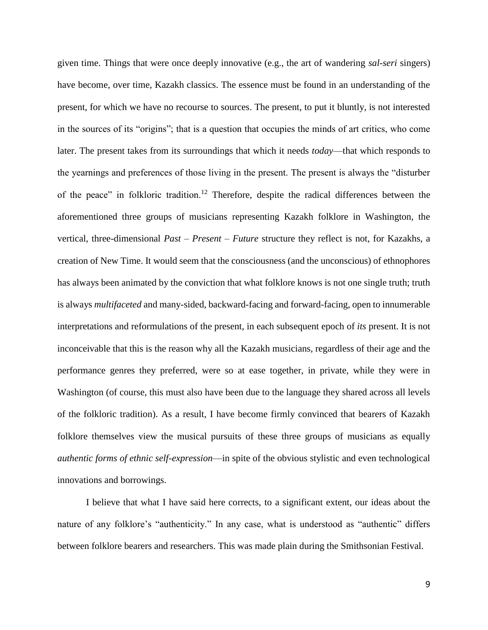given time. Things that were once deeply innovative (e.g., the art of wandering *sal-seri* singers) have become, over time, Kazakh classics. The essence must be found in an understanding of the present, for which we have no recourse to sources. The present, to put it bluntly, is not interested in the sources of its "origins"; that is a question that occupies the minds of art critics, who come later. The present takes from its surroundings that which it needs *today*—that which responds to the yearnings and preferences of those living in the present. The present is always the "disturber of the peace" in folkloric tradition.<sup>12</sup> Therefore, despite the radical differences between the aforementioned three groups of musicians representing Kazakh folklore in Washington, the vertical, three-dimensional *Past – Present – Future* structure they reflect is not, for Kazakhs, a creation of New Time. It would seem that the consciousness (and the unconscious) of ethnophores has always been animated by the conviction that what folklore knows is not one single truth; truth is always *multifaceted* and many-sided, backward-facing and forward-facing, open to innumerable interpretations and reformulations of the present, in each subsequent epoch of *its* present. It is not inconceivable that this is the reason why all the Kazakh musicians, regardless of their age and the performance genres they preferred, were so at ease together, in private, while they were in Washington (of course, this must also have been due to the language they shared across all levels of the folkloric tradition). As a result, I have become firmly convinced that bearers of Kazakh folklore themselves view the musical pursuits of these three groups of musicians as equally *authentic forms of ethnic self-expression*—in spite of the obvious stylistic and even technological innovations and borrowings.

I believe that what I have said here corrects, to a significant extent, our ideas about the nature of any folklore's "authenticity." In any case, what is understood as "authentic" differs between folklore bearers and researchers. This was made plain during the Smithsonian Festival.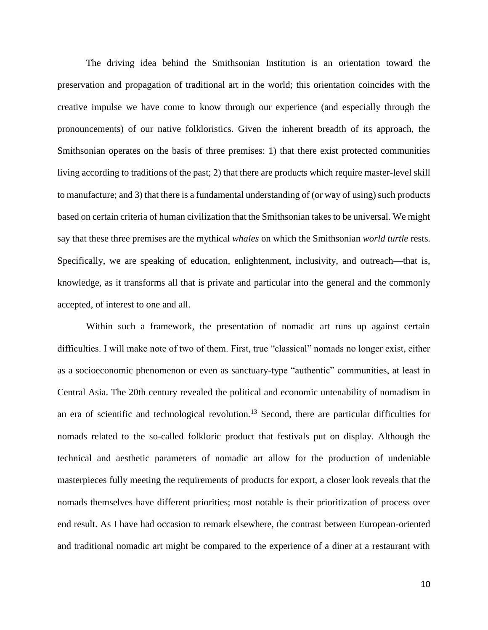The driving idea behind the Smithsonian Institution is an orientation toward the preservation and propagation of traditional art in the world; this orientation coincides with the creative impulse we have come to know through our experience (and especially through the pronouncements) of our native folkloristics. Given the inherent breadth of its approach, the Smithsonian operates on the basis of three premises: 1) that there exist protected communities living according to traditions of the past; 2) that there are products which require master-level skill to manufacture; and 3) that there is a fundamental understanding of (or way of using) such products based on certain criteria of human civilization that the Smithsonian takes to be universal. We might say that these three premises are the mythical *whales* on which the Smithsonian *world turtle* rests. Specifically, we are speaking of education, enlightenment, inclusivity, and outreach—that is, knowledge, as it transforms all that is private and particular into the general and the commonly accepted, of interest to one and all.

Within such a framework, the presentation of nomadic art runs up against certain difficulties. I will make note of two of them. First, true "classical" nomads no longer exist, either as a socioeconomic phenomenon or even as sanctuary-type "authentic" communities, at least in Central Asia. The 20th century revealed the political and economic untenability of nomadism in an era of scientific and technological revolution.<sup>13</sup> Second, there are particular difficulties for nomads related to the so-called folkloric product that festivals put on display. Although the technical and aesthetic parameters of nomadic art allow for the production of undeniable masterpieces fully meeting the requirements of products for export, a closer look reveals that the nomads themselves have different priorities; most notable is their prioritization of process over end result. As I have had occasion to remark elsewhere, the contrast between European-oriented and traditional nomadic art might be compared to the experience of a diner at a restaurant with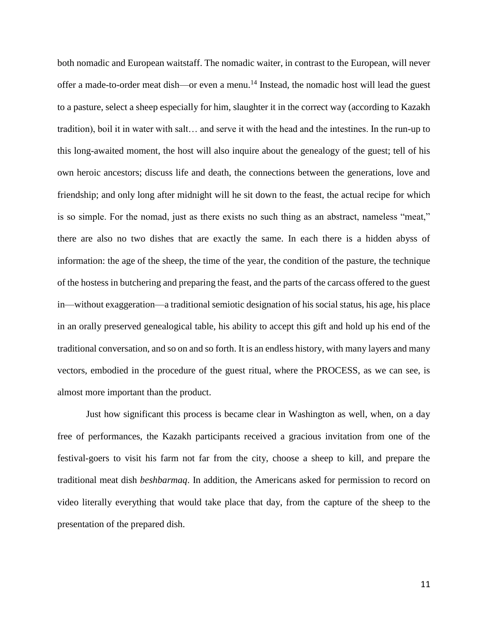both nomadic and European waitstaff. The nomadic waiter, in contrast to the European, will never offer a made-to-order meat dish—or even a menu.<sup>14</sup> Instead, the nomadic host will lead the guest to a pasture, select a sheep especially for him, slaughter it in the correct way (according to Kazakh tradition), boil it in water with salt… and serve it with the head and the intestines. In the run-up to this long-awaited moment, the host will also inquire about the genealogy of the guest; tell of his own heroic ancestors; discuss life and death, the connections between the generations, love and friendship; and only long after midnight will he sit down to the feast, the actual recipe for which is so simple. For the nomad, just as there exists no such thing as an abstract, nameless "meat," there are also no two dishes that are exactly the same. In each there is a hidden abyss of information: the age of the sheep, the time of the year, the condition of the pasture, the technique of the hostess in butchering and preparing the feast, and the parts of the carcass offered to the guest in—without exaggeration—a traditional semiotic designation of his social status, his age, his place in an orally preserved genealogical table, his ability to accept this gift and hold up his end of the traditional conversation, and so on and so forth. It is an endless history, with many layers and many vectors, embodied in the procedure of the guest ritual, where the PROCESS, as we can see, is almost more important than the product.

Just how significant this process is became clear in Washington as well, when, on a day free of performances, the Kazakh participants received a gracious invitation from one of the festival-goers to visit his farm not far from the city, choose a sheep to kill, and prepare the traditional meat dish *beshbarmaq*. In addition, the Americans asked for permission to record on video literally everything that would take place that day, from the capture of the sheep to the presentation of the prepared dish.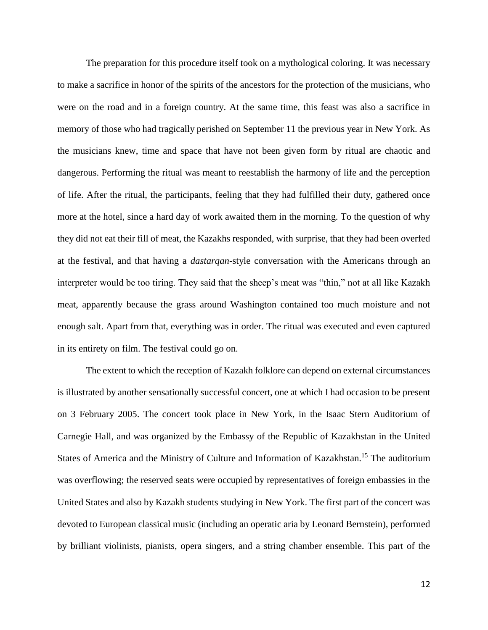The preparation for this procedure itself took on a mythological coloring. It was necessary to make a sacrifice in honor of the spirits of the ancestors for the protection of the musicians, who were on the road and in a foreign country. At the same time, this feast was also a sacrifice in memory of those who had tragically perished on September 11 the previous year in New York. As the musicians knew, time and space that have not been given form by ritual are chaotic and dangerous. Performing the ritual was meant to reestablish the harmony of life and the perception of life. After the ritual, the participants, feeling that they had fulfilled their duty, gathered once more at the hotel, since a hard day of work awaited them in the morning. To the question of why they did not eat their fill of meat, the Kazakhs responded, with surprise, that they had been overfed at the festival, and that having a *dastarqan*-style conversation with the Americans through an interpreter would be too tiring. They said that the sheep's meat was "thin," not at all like Kazakh meat, apparently because the grass around Washington contained too much moisture and not enough salt. Apart from that, everything was in order. The ritual was executed and even captured in its entirety on film. The festival could go on.

The extent to which the reception of Kazakh folklore can depend on external circumstances is illustrated by another sensationally successful concert, one at which I had occasion to be present on 3 February 2005. The concert took place in New York, in the Isaac Stern Auditorium of Carnegie Hall, and was organized by the Embassy of the Republic of Kazakhstan in the United States of America and the Ministry of Culture and Information of Kazakhstan.<sup>15</sup> The auditorium was overflowing; the reserved seats were occupied by representatives of foreign embassies in the United States and also by Kazakh students studying in New York. The first part of the concert was devoted to European classical music (including an operatic aria by Leonard Bernstein), performed by brilliant violinists, pianists, opera singers, and a string chamber ensemble. This part of the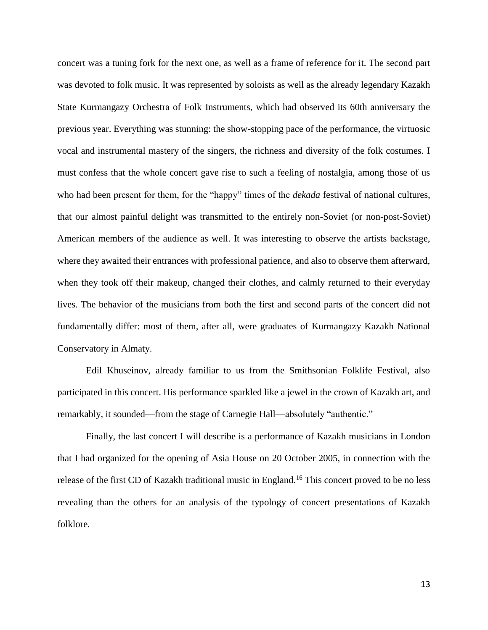concert was a tuning fork for the next one, as well as a frame of reference for it. The second part was devoted to folk music. It was represented by soloists as well as the already legendary Kazakh State Kurmangazy Orchestra of Folk Instruments, which had observed its 60th anniversary the previous year. Everything was stunning: the show-stopping pace of the performance, the virtuosic vocal and instrumental mastery of the singers, the richness and diversity of the folk costumes. I must confess that the whole concert gave rise to such a feeling of nostalgia, among those of us who had been present for them, for the "happy" times of the *dekada* festival of national cultures, that our almost painful delight was transmitted to the entirely non-Soviet (or non-post-Soviet) American members of the audience as well. It was interesting to observe the artists backstage, where they awaited their entrances with professional patience, and also to observe them afterward, when they took off their makeup, changed their clothes, and calmly returned to their everyday lives. The behavior of the musicians from both the first and second parts of the concert did not fundamentally differ: most of them, after all, were graduates of Kurmangazy Kazakh National Conservatory in Almaty.

Edil Khuseinov, already familiar to us from the Smithsonian Folklife Festival, also participated in this concert. His performance sparkled like a jewel in the crown of Kazakh art, and remarkably, it sounded—from the stage of Carnegie Hall—absolutely "authentic."

Finally, the last concert I will describe is a performance of Kazakh musicians in London that I had organized for the opening of Asia House on 20 October 2005, in connection with the release of the first CD of Kazakh traditional music in England.<sup>16</sup> This concert proved to be no less revealing than the others for an analysis of the typology of concert presentations of Kazakh folklore.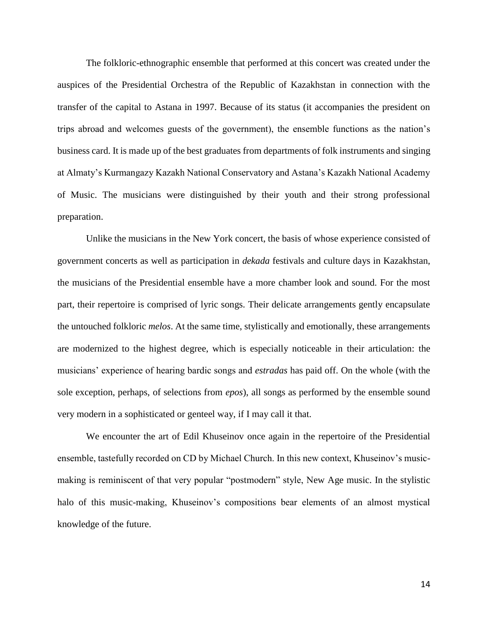The folkloric-ethnographic ensemble that performed at this concert was created under the auspices of the Presidential Orchestra of the Republic of Kazakhstan in connection with the transfer of the capital to Astana in 1997. Because of its status (it accompanies the president on trips abroad and welcomes guests of the government), the ensemble functions as the nation's business card. It is made up of the best graduates from departments of folk instruments and singing at Almaty's Kurmangazy Kazakh National Conservatory and Astana's Kazakh National Academy of Music. The musicians were distinguished by their youth and their strong professional preparation.

Unlike the musicians in the New York concert, the basis of whose experience consisted of government concerts as well as participation in *dekada* festivals and culture days in Kazakhstan, the musicians of the Presidential ensemble have a more chamber look and sound. For the most part, their repertoire is comprised of lyric songs. Their delicate arrangements gently encapsulate the untouched folkloric *melos*. At the same time, stylistically and emotionally, these arrangements are modernized to the highest degree, which is especially noticeable in their articulation: the musicians' experience of hearing bardic songs and *estradas* has paid off. On the whole (with the sole exception, perhaps, of selections from *epos*), all songs as performed by the ensemble sound very modern in a sophisticated or genteel way, if I may call it that.

We encounter the art of Edil Khuseinov once again in the repertoire of the Presidential ensemble, tastefully recorded on CD by Michael Church. In this new context, Khuseinov's musicmaking is reminiscent of that very popular "postmodern" style, New Age music. In the stylistic halo of this music-making, Khuseinov's compositions bear elements of an almost mystical knowledge of the future.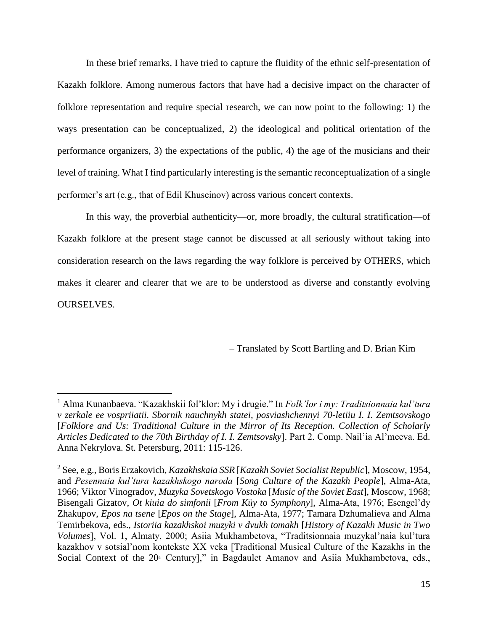In these brief remarks, I have tried to capture the fluidity of the ethnic self-presentation of Kazakh folklore. Among numerous factors that have had a decisive impact on the character of folklore representation and require special research, we can now point to the following: 1) the ways presentation can be conceptualized, 2) the ideological and political orientation of the performance organizers, 3) the expectations of the public, 4) the age of the musicians and their level of training. What I find particularly interesting is the semantic reconceptualization of a single performer's art (e.g., that of Edil Khuseinov) across various concert contexts.

In this way, the proverbial authenticity—or, more broadly, the cultural stratification—of Kazakh folklore at the present stage cannot be discussed at all seriously without taking into consideration research on the laws regarding the way folklore is perceived by OTHERS, which makes it clearer and clearer that we are to be understood as diverse and constantly evolving OURSELVES.

– Translated by Scott Bartling and D. Brian Kim

 $\overline{a}$ 

<sup>1</sup> Alma Kunanbaeva. "Kazakhskii fol'klor: My i drugie." In *Folk'lor i my: Traditsionnaia kul'tura v zerkale ee vospriiatii. Sbornik nauchnykh statei, posviashchennyi 70-letiiu I. I. Zemtsovskogo*  [*Folklore and Us: Traditional Culture in the Mirror of Its Reception. Collection of Scholarly Articles Dedicated to the 70th Birthday of I. I. Zemtsovsky*]. Part 2. Comp. Nail'ia Al'meeva. Ed. Anna Nekrylova. St. Petersburg, 2011: 115-126.

<sup>2</sup> See, e.g., Boris Erzakovich, *Kazakhskaia SSR* [*Kazakh Soviet Socialist Republic*], Moscow, 1954, and *Pesennaia kul'tura kazakhskogo naroda* [*Song Culture of the Kazakh People*], Alma-Ata, 1966; Viktor Vinogradov, *Muzyka Sovetskogo Vostoka* [*Music of the Soviet East*], Moscow, 1968; Bisengali Gizatov, *Ot kiuia do simfonii* [*From Küy to Symphony*], Alma-Ata, 1976; Esengel'dy Zhakupov, *Epos na tsene* [*Epos on the Stage*], Alma-Ata, 1977; Tamara Dzhumalieva and Alma Temirbekova, eds., *Istoriia kazakhskoi muzyki v dvukh tomakh* [*History of Kazakh Music in Two Volumes*], Vol. 1, Almaty, 2000; Asiia Mukhambetova, "Traditsionnaia muzykal'naia kul'tura kazakhov v sotsial'nom kontekste XX veka [Traditional Musical Culture of the Kazakhs in the Social Context of the  $20^{\text{th}}$  Century]," in Bagdaulet Amanov and Asiia Mukhambetova, eds.,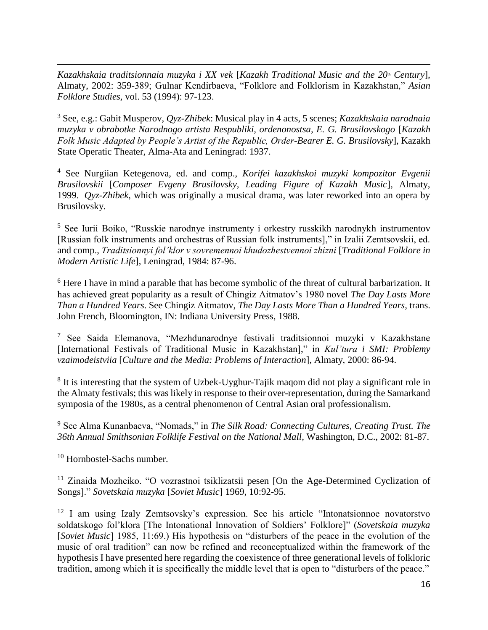$\overline{a}$ *Kazakhskaia traditsionnaia muzyka i XX vek* [*Kazakh Traditional Music and the 20<sup><i>th*</sup> Century]</sub>, Almaty, 2002: 359-389; Gulnar Kendirbaeva, "Folklore and Folklorism in Kazakhstan," *Asian Folklore Studies,* vol. 53 (1994): 97-123.

<sup>3</sup> See, e.g.: Gabit Musperov, *Qyz-Zhibek*: Musical play in 4 acts, 5 scenes; *Kazakhskaia narodnaia muzyka v obrabotke Narodnogo artista Respubliki, ordenonostsa, E. G. Brusilovskogo* [*Kazakh Folk Music Adapted by People's Artist of the Republic, Order-Bearer E. G. Brusilovsky*], Kazakh State Operatic Theater, Alma-Ata and Leningrad: 1937.

<sup>4</sup> See Nurgiian Ketegenova, ed. and comp., *Korifei kazakhskoi muzyki kompozitor Evgenii Brusilovskii* [*Composer Evgeny Brusilovsky, Leading Figure of Kazakh Music*], Almaty, 1999. *Qyz-Zhibek*, which was originally a musical drama, was later reworked into an opera by Brusilovsky.

<sup>5</sup> See Iurii Boiko, "Russkie narodnye instrumenty i orkestry russkikh narodnykh instrumentov [Russian folk instruments and orchestras of Russian folk instruments]," in Izalii Zemtsovskii, ed. and comp., *Traditsionnyi fol'klor v sovremennoi khudozhestvennoi zhizni* [*Traditional Folklore in Modern Artistic Life*], Leningrad, 1984: 87-96.

<sup>6</sup> Here I have in mind a parable that has become symbolic of the threat of cultural barbarization. It has achieved great popularity as a result of Chingiz Aitmatov's 1980 novel *The Day Lasts More Than a Hundred Years*. See Chingiz Aitmatov, *The Day Lasts More Than a Hundred Years*, trans. John French, Bloomington, IN: Indiana University Press, 1988.

<sup>7</sup> See Saida Elemanova, "Mezhdunarodnye festivali traditsionnoi muzyki v Kazakhstane [International Festivals of Traditional Music in Kazakhstan]," in *Kul'tura i SMI: Problemy vzaimodeistviia* [*Culture and the Media: Problems of Interaction*], Almaty, 2000: 86-94.

<sup>8</sup> It is interesting that the system of Uzbek-Uyghur-Tajik maqom did not play a significant role in the Almaty festivals; this was likely in response to their over-representation, during the Samarkand symposia of the 1980s, as a central phenomenon of Central Asian oral professionalism.

<sup>9</sup> See Alma Kunanbaeva, "Nomads," in *The Silk Road: Connecting Cultures, Creating Trust. The 36th Annual Smithsonian Folklife Festival on the National Mall,* Washington, D.C., 2002: 81-87.

<sup>10</sup> Hornbostel-Sachs number.

<sup>11</sup> Zinaida Mozheiko. "O vozrastnoi tsiklizatsii pesen [On the Age-Determined Cyclization of Songs]." *Sovetskaia muzyka* [*Soviet Music*] 1969, 10:92-95.

<sup>12</sup> I am using Izaly Zemtsovsky's expression. See his article "Intonatsionnoe novatorstvo soldatskogo fol'klora [The Intonational Innovation of Soldiers' Folklore]" (*Sovetskaia muzyka* [*Soviet Music*] 1985, 11:69.) His hypothesis on "disturbers of the peace in the evolution of the music of oral tradition" can now be refined and reconceptualized within the framework of the hypothesis I have presented here regarding the coexistence of three generational levels of folkloric tradition, among which it is specifically the middle level that is open to "disturbers of the peace."